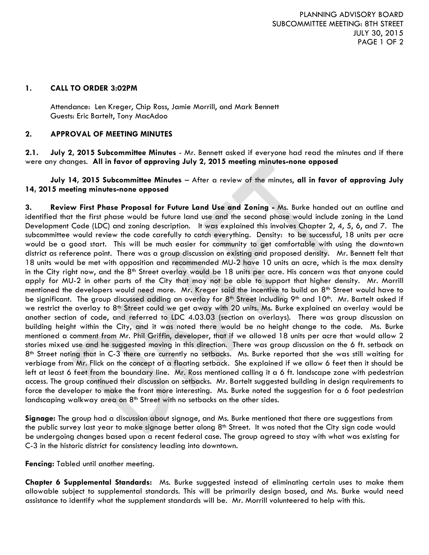PLANNING ADVISORY BOARD SUBCOMMITTEE MEETING: 8TH STREET JULY 30, 2015 PAGE 1 OF 2

#### **1. CALL TO ORDER 3:02PM**

Attendance: Len Kreger, Chip Ross, Jamie Morrill, and Mark Bennett Guests: Eric Bartelt, Tony MacAdoo

### **2. APPROVAL OF MEETING MINUTES**

**2.1. July 2, 2015 Subcommittee Minutes** - Mr. Bennett asked if everyone had read the minutes and if there were any changes. **All in favor of approving July 2, 2015 meeting minutes-none opposed**

## **July 14, 2015 Subcommittee Minutes** – After a review of the minutes, **all in favor of approving July 14, 2015 meeting minutes-none opposed**

**3. Review First Phase Proposal for Future Land Use and Zoning -** Ms. Burke handed out an outline and identified that the first phase would be future land use and the second phase would include zoning in the Land Development Code (LDC) and zoning description. It was explained this involves Chapter 2, 4, 5, 6, and 7. The subcommittee would review the code carefully to catch everything. Density: to be successful, 18 units per acre would be a good start. This will be much easier for community to get comfortable with using the downtown district as reference point. There was a group discussion on existing and proposed density. Mr. Bennett felt that 18 units would be met with opposition and recommended MU-2 have 10 units an acre, which is the max density in the City right now, and the 8<sup>th</sup> Street overlay would be 18 units per acre. His concern was that anyone could apply for MU-2 in other parts of the City that may not be able to support that higher density. Mr. Morrill mentioned the developers would need more. Mr. Kreger said the incentive to build on 8th Street would have to be significant. The group discussed adding an overlay for 8<sup>th</sup> Street including 9<sup>th</sup> and 10<sup>th</sup>. Mr. Bartelt asked if we restrict the overlay to 8<sup>th</sup> Street could we get away with 20 units. Ms. Burke explained an overlay would be another section of code, and referred to LDC 4.03.03 (section on overlays). There was group discussion on building height within the City, and it was noted there would be no height change to the code. Ms. Burke mentioned a comment from Mr. Phil Griffin, developer, that if we allowed 18 units per acre that would allow 2 stories mixed use and he suggested moving in this direction. There was group discussion on the 6 ft. setback on 8th Street noting that in C-3 there are currently no setbacks. Ms. Burke reported that she was still waiting for verbiage from Mr. Flick on the concept of a floating setback. She explained if we allow 6 feet then it should be left at least 6 feet from the boundary line. Mr. Ross mentioned calling it a 6 ft. landscape zone with pedestrian access. The group continued their discussion on setbacks. Mr. Bartelt suggested building in design requirements to force the developer to make the front more interesting. Ms. Burke noted the suggestion for a 6 foot pedestrian landscaping walkway area on  $8<sup>th</sup>$  Street with no setbacks on the other sides.

**Signage:** The group had a discussion about signage, and Ms. Burke mentioned that there are suggestions from the public survey last year to make signage better along 8<sup>th</sup> Street. It was noted that the City sign code would be undergoing changes based upon a recent federal case. The group agreed to stay with what was existing for C-3 in the historic district for consistency leading into downtown.

#### **Fencing:** Tabled until another meeting.

**Chapter 6 Supplemental Standards:** Ms. Burke suggested instead of eliminating certain uses to make them allowable subject to supplemental standards. This will be primarily design based, and Ms. Burke would need assistance to identify what the supplement standards will be. Mr. Morrill volunteered to help with this.